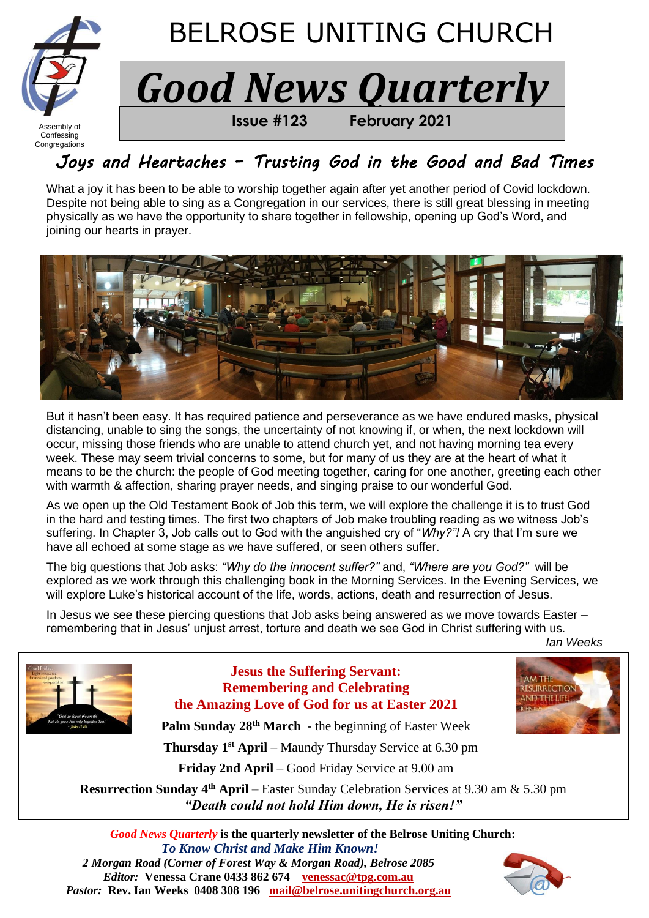

### Confessing **Congregations**

# *Joys and Heartaches – Trusting God in the Good and Bad Times*

What a joy it has been to be able to worship together again after yet another period of Covid lockdown. Despite not being able to sing as a Congregation in our services, there is still great blessing in meeting physically as we have the opportunity to share together in fellowship, opening up God's Word, and joining our hearts in prayer.



But it hasn't been easy. It has required patience and perseverance as we have endured masks, physical distancing, unable to sing the songs, the uncertainty of not knowing if, or when, the next lockdown will occur, missing those friends who are unable to attend church yet, and not having morning tea every week. These may seem trivial concerns to some, but for many of us they are at the heart of what it means to be the church: the people of God meeting together, caring for one another, greeting each other with warmth & affection, sharing prayer needs, and singing praise to our wonderful God.

As we open up the Old Testament Book of Job this term, we will explore the challenge it is to trust God in the hard and testing times. The first two chapters of Job make troubling reading as we witness Job's suffering. In Chapter 3, Job calls out to God with the anguished cry of "*Why?"!* A cry that I'm sure we have all echoed at some stage as we have suffered, or seen others suffer.

The big questions that Job asks: *"Why do the innocent suffer?"* and, *"Where are you God?"* will be explored as we work through this challenging book in the Morning Services. In the Evening Services, we will explore Luke's historical account of the life, words, actions, death and resurrection of Jesus.

In Jesus we see these piercing questions that Job asks being answered as we move towards Easter – remembering that in Jesus' unjust arrest, torture and death we see God in Christ suffering with us.

*Ian Weeks* 

**IRRECTIO** 



## **Jesus the Suffering Servant: Remembering and Celebrating the Amazing Love of God for us at Easter 2021**

**Palm Sunday 28th March** - the beginning of Easter Week

 **Thursday 1 st April** – Maundy Thursday Service at 6.30 pm

**Friday 2nd April** – Good Friday Service at 9.00 am

**Resurrection Sunday 4 th April** – Easter Sunday Celebration Services at 9.30 am & 5.30 pm *"Death could not hold Him down, He is risen!"*

*Good News Quarterly* **is the quarterly newsletter of the Belrose Uniting Church:**  *To Know Christ and Make Him Known! 2 Morgan Road (Corner of Forest Way & Morgan Road), Belrose 2085 Editor:* **Venessa Crane 0433 862 674****[venessac@tpg.com.au](mailto:venessac@tpg.com.au)** *Pastor:* **Rev. Ian Weeks 0408 308 196****[mail@belrose.unitingchurch.org.au](mailto:mail@belrose.unitingchurch.org.au)**

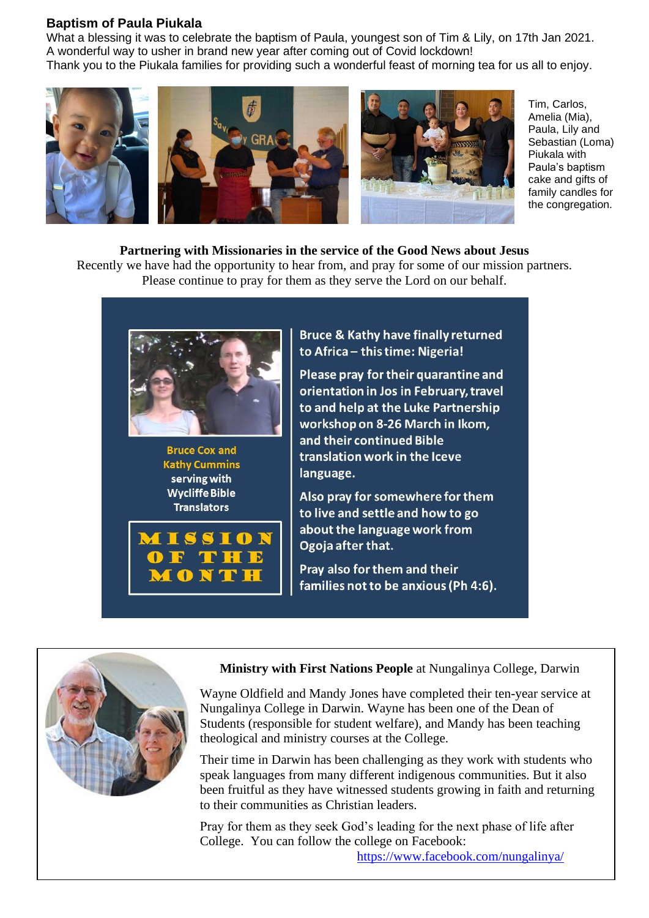#### **Baptism of Paula Piukala**

What a blessing it was to celebrate the baptism of Paula, youngest son of Tim & Lily, on 17th Jan 2021. A wonderful way to usher in brand new year after coming out of Covid lockdown! Thank you to the Piukala families for providing such a wonderful feast of morning tea for us all to enjoy.



Tim, Carlos, Amelia (Mia), Paula, Lily and Sebastian (Loma) Piukala with Paula's baptism cake and gifts of family candles for the congregation.

# **Partnering with Missionaries in the service of the Good News about Jesus**

Recently we have had the opportunity to hear from, and pray for some of our mission partners. Please continue to pray for them as they serve the Lord on our behalf.



**Bruce Cox and Kathy Cummins** serving with **Wycliffe Bible Translators** 



**Bruce & Kathy have finally returned** to Africa - this time: Nigeria!

Please pray for their quarantine and orientation in Jos in February, travel to and help at the Luke Partnership workshop on 8-26 March in Ikom, and their continued Bible translation work in the Iceve language.

Also pray for somewhere for them to live and settle and how to go about the language work from Ogoja after that.

Pray also for them and their families not to be anxious (Ph 4:6).



### **Ministry with First Nations People** at Nungalinya College, Darwin

Wayne Oldfield and Mandy Jones have completed their ten-year service at Nungalinya College in Darwin. Wayne has been one of the Dean of Students (responsible for student welfare), and Mandy has been teaching theological and ministry courses at the College.

Their time in Darwin has been challenging as they work with students who speak languages from many different indigenous communities. But it also been fruitful as they have witnessed students growing in faith and returning to their communities as Christian leaders.

Pray for them as they seek God's leading for the next phase of life after College. You can follow the college on Facebook:

<https://www.facebook.com/nungalinya/>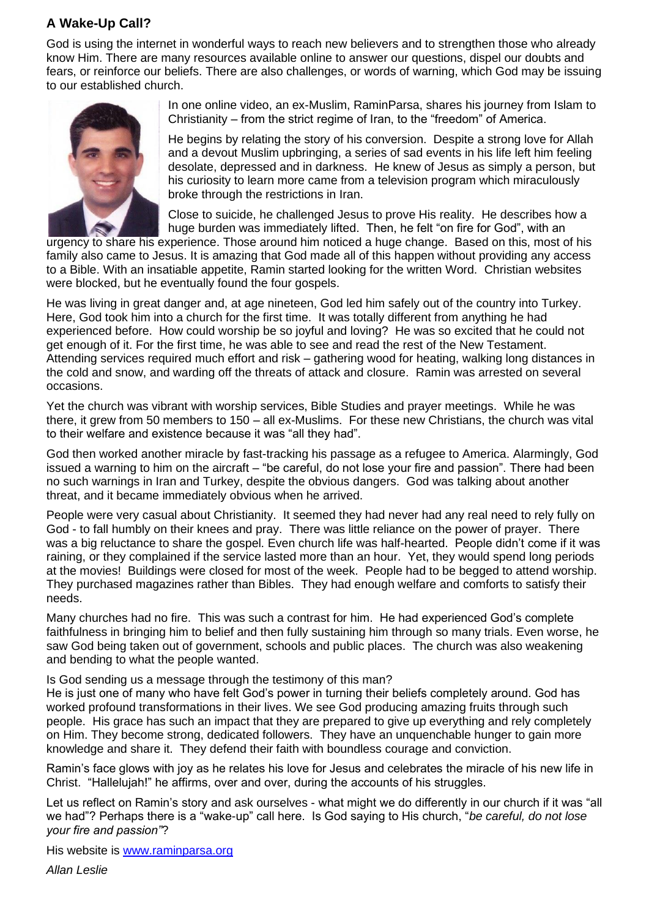## **A Wake-Up Call?**

God is using the internet in wonderful ways to reach new believers and to strengthen those who already know Him. There are many resources available online to answer our questions, dispel our doubts and fears, or reinforce our beliefs. There are also challenges, or words of warning, which God may be issuing to our established church.



In one online video, an ex-Muslim, RaminParsa, shares his journey from Islam to Christianity – from the strict regime of Iran, to the "freedom" of America.

He begins by relating the story of his conversion. Despite a strong love for Allah and a devout Muslim upbringing, a series of sad events in his life left him feeling desolate, depressed and in darkness. He knew of Jesus as simply a person, but his curiosity to learn more came from a television program which miraculously broke through the restrictions in Iran.

Close to suicide, he challenged Jesus to prove His reality. He describes how a huge burden was immediately lifted. Then, he felt "on fire for God", with an

urgency to share his experience. Those around him noticed a huge change. Based on this, most of his family also came to Jesus. It is amazing that God made all of this happen without providing any access to a Bible. With an insatiable appetite, Ramin started looking for the written Word. Christian websites were blocked, but he eventually found the four gospels.

He was living in great danger and, at age nineteen, God led him safely out of the country into Turkey. Here, God took him into a church for the first time. It was totally different from anything he had experienced before. How could worship be so joyful and loving? He was so excited that he could not get enough of it. For the first time, he was able to see and read the rest of the New Testament. Attending services required much effort and risk – gathering wood for heating, walking long distances in the cold and snow, and warding off the threats of attack and closure. Ramin was arrested on several occasions.

Yet the church was vibrant with worship services, Bible Studies and prayer meetings. While he was there, it grew from 50 members to 150 – all ex-Muslims. For these new Christians, the church was vital to their welfare and existence because it was "all they had".

God then worked another miracle by fast-tracking his passage as a refugee to America. Alarmingly, God issued a warning to him on the aircraft – "be careful, do not lose your fire and passion". There had been no such warnings in Iran and Turkey, despite the obvious dangers. God was talking about another threat, and it became immediately obvious when he arrived.

People were very casual about Christianity. It seemed they had never had any real need to rely fully on God - to fall humbly on their knees and pray. There was little reliance on the power of prayer. There was a big reluctance to share the gospel. Even church life was half-hearted. People didn't come if it was raining, or they complained if the service lasted more than an hour. Yet, they would spend long periods at the movies! Buildings were closed for most of the week. People had to be begged to attend worship. They purchased magazines rather than Bibles. They had enough welfare and comforts to satisfy their needs.

Many churches had no fire. This was such a contrast for him. He had experienced God's complete faithfulness in bringing him to belief and then fully sustaining him through so many trials. Even worse, he saw God being taken out of government, schools and public places. The church was also weakening and bending to what the people wanted.

#### Is God sending us a message through the testimony of this man?

He is just one of many who have felt God's power in turning their beliefs completely around. God has worked profound transformations in their lives. We see God producing amazing fruits through such people. His grace has such an impact that they are prepared to give up everything and rely completely on Him. They become strong, dedicated followers. They have an unquenchable hunger to gain more knowledge and share it. They defend their faith with boundless courage and conviction.

Ramin's face glows with joy as he relates his love for Jesus and celebrates the miracle of his new life in Christ. "Hallelujah!" he affirms, over and over, during the accounts of his struggles.

Let us reflect on Ramin's story and ask ourselves - what might we do differently in our church if it was "all we had"? Perhaps there is a "wake-up" call here. Is God saying to His church, "*be careful, do not lose your fire and passion"*?

His website is **www.raminparsa.org**